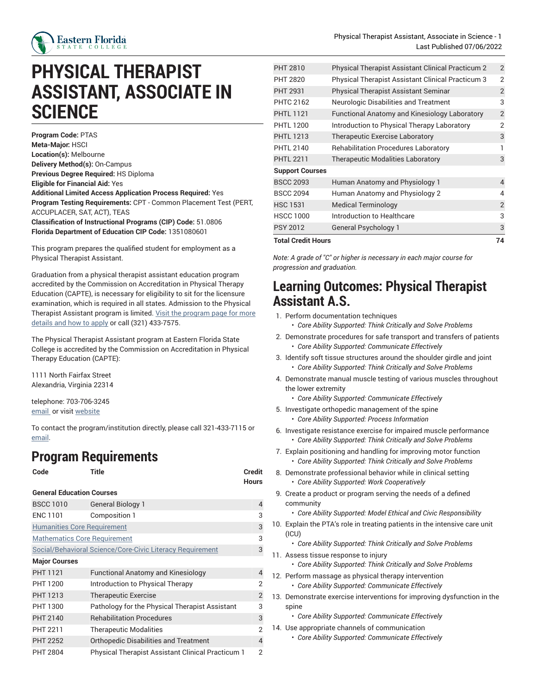

## **PHYSICAL THERAPIST ASSISTANT, ASSOCIATE IN SCIENCE**

**Program Code:** PTAS **Meta-Major:** HSCI **Location(s):** Melbourne **Delivery Method(s):** On-Campus **Previous Degree Required:** HS Diploma **Eligible for Financial Aid:** Yes **Additional Limited Access Application Process Required:** Yes **Program Testing Requirements:** CPT - Common Placement Test (PERT, ACCUPLACER, SAT, ACT), TEAS **Classification of Instructional Programs (CIP) Code:** 51.0806 **Florida Department of Education CIP Code:** 1351080601

This program prepares the qualified student for employment as a Physical Therapist Assistant.

Graduation from a physical therapist assistant education program accredited by the Commission on Accreditation in Physical Therapy Education (CAPTE), is necessary for eligibility to sit for the licensure examination, which is required in all states. Admission to the Physical Therapist Assistant [program](https://www.easternflorida.edu/academics/health-nursing/our-programs/pt-assistant/) is limited. Visit the program page for more [details and how to apply](https://www.easternflorida.edu/academics/health-nursing/our-programs/pt-assistant/) or call (321) 433-7575.

The Physical Therapist Assistant program at Eastern Florida State College is accredited by the Commission on Accreditation in Physical Therapy Education (CAPTE):

1111 North Fairfax Street Alexandria, Virginia 22314

telephone: 703-706-3245 email or visit [website](http://www.capteonline.org)

To contact the program/institution directly, please call 321-433-7115 or [email.](mailto:schroederk@easternflorida.edu)

## **Program Requirements**

```
Code Title Credit
```
## **General Education Courses**

| <b>BSCC 1010</b>                    | <b>General Biology 1</b>                                  | 4              |
|-------------------------------------|-----------------------------------------------------------|----------------|
| <b>ENC 1101</b>                     | Composition 1                                             | 3              |
| <b>Humanities Core Requirement</b>  |                                                           | 3              |
| <b>Mathematics Core Requirement</b> |                                                           | 3              |
|                                     | Social/Behavioral Science/Core-Civic Literacy Requirement | 3              |
| <b>Major Courses</b>                |                                                           |                |
| <b>PHT 1121</b>                     | <b>Functional Anatomy and Kinesiology</b>                 | 4              |
| <b>PHT 1200</b>                     | Introduction to Physical Therapy                          | 2              |
| <b>PHT 1213</b>                     | <b>Therapeutic Exercise</b>                               | $\overline{2}$ |
| <b>PHT 1300</b>                     | Pathology for the Physical Therapist Assistant            | 3              |
| PHT 2140                            | <b>Rehabilitation Procedures</b>                          | 3              |
| <b>PHT 2211</b>                     | <b>Therapeutic Modalities</b>                             | 2              |
| <b>PHT 2252</b>                     | <b>Orthopedic Disabilities and Treatment</b>              | 4              |
| <b>PHT 2804</b>                     | <b>Physical Therapist Assistant Clinical Practicum 1</b>  | 2              |

| <b>Total Credit Hours</b> |                                                          | 74             |
|---------------------------|----------------------------------------------------------|----------------|
| <b>PSY 2012</b>           | <b>General Psychology 1</b>                              | 3              |
| <b>HSCC 1000</b>          | Introduction to Healthcare                               | 3              |
| <b>HSC 1531</b>           | <b>Medical Terminology</b>                               | $\overline{2}$ |
| <b>BSCC 2094</b>          | Human Anatomy and Physiology 2                           | 4              |
| <b>BSCC 2093</b>          | Human Anatomy and Physiology 1                           | $\overline{4}$ |
| <b>Support Courses</b>    |                                                          |                |
| <b>PHTL 2211</b>          | <b>Therapeutic Modalities Laboratory</b>                 | 3              |
| <b>PHTL 2140</b>          | <b>Rehabilitation Procedures Laboratory</b>              |                |
| <b>PHTL 1213</b>          | Therapeutic Exercise Laboratory                          | 3              |
| <b>PHTL 1200</b>          | Introduction to Physical Therapy Laboratory              | 2              |
| <b>PHTL 1121</b>          | <b>Functional Anatomy and Kinesiology Laboratory</b>     | $\overline{2}$ |
| <b>PHTC 2162</b>          | <b>Neurologic Disabilities and Treatment</b>             | 3              |
| <b>PHT 2931</b>           | <b>Physical Therapist Assistant Seminar</b>              | $\overline{2}$ |
| PHT 2820                  | Physical Therapist Assistant Clinical Practicum 3        | $\overline{2}$ |
| <b>PHT 2810</b>           | <b>Physical Therapist Assistant Clinical Practicum 2</b> | 2              |

*Note: A grade of "C" or higher is necessary in each major course for*

*progression and graduation.*

## **Learning Outcomes: Physical Therapist Assistant A.S.**

- 1. Perform documentation techniques
	- *Core Ability Supported: Think Critically and Solve Problems*
- 2. Demonstrate procedures for safe transport and transfers of patients • *Core Ability Supported: Communicate Effectively*
- 3. Identify soft tissue structures around the shoulder girdle and joint • *Core Ability Supported: Think Critically and Solve Problems*
- 4. Demonstrate manual muscle testing of various muscles throughout the lower extremity
	- *Core Ability Supported: Communicate Effectively*
- 5. Investigate orthopedic management of the spine
	- *Core Ability Supported: Process Information*
- 6. Investigate resistance exercise for impaired muscle performance • *Core Ability Supported: Think Critically and Solve Problems*
- 7. Explain positioning and handling for improving motor function • *Core Ability Supported: Think Critically and Solve Problems*
- 8. Demonstrate professional behavior while in clinical setting
	- *Core Ability Supported: Work Cooperatively*
- 9. Create a product or program serving the needs of a defined community
	- *Core Ability Supported: Model Ethical and Civic Responsibility*
- 10. Explain the PTA's role in treating patients in the intensive care unit (ICU)
	- *Core Ability Supported: Think Critically and Solve Problems*
- 11. Assess tissue response to injury

**Hours**

- *Core Ability Supported: Think Critically and Solve Problems*
- 12. Perform massage as physical therapy intervention
	- *Core Ability Supported: Communicate Effectively*
- 13. Demonstrate exercise interventions for improving dysfunction in the spine
	- *Core Ability Supported: Communicate Effectively*
- 14. Use appropriate channels of communication
	- *Core Ability Supported: Communicate Effectively*